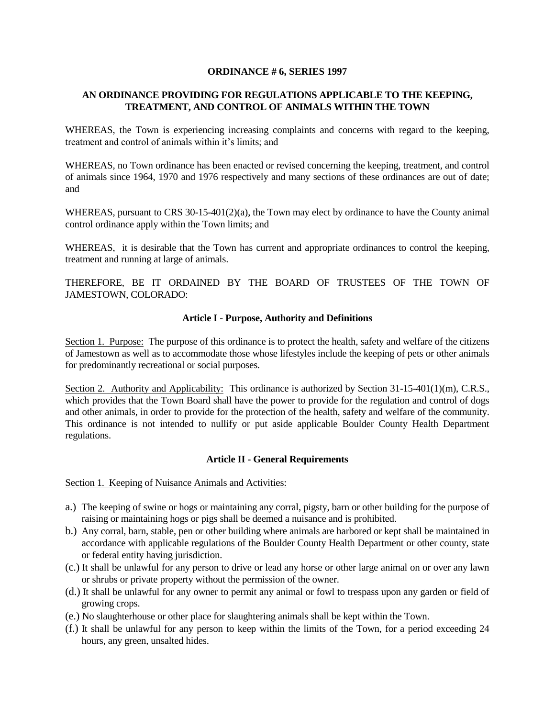#### **ORDINANCE # 6, SERIES 1997**

# **AN ORDINANCE PROVIDING FOR REGULATIONS APPLICABLE TO THE KEEPING, TREATMENT, AND CONTROL OF ANIMALS WITHIN THE TOWN**

WHEREAS, the Town is experiencing increasing complaints and concerns with regard to the keeping, treatment and control of animals within it's limits; and

WHEREAS, no Town ordinance has been enacted or revised concerning the keeping, treatment, and control of animals since 1964, 1970 and 1976 respectively and many sections of these ordinances are out of date; and

WHEREAS, pursuant to CRS 30-15-401(2)(a), the Town may elect by ordinance to have the County animal control ordinance apply within the Town limits; and

WHEREAS, it is desirable that the Town has current and appropriate ordinances to control the keeping, treatment and running at large of animals.

THEREFORE, BE IT ORDAINED BY THE BOARD OF TRUSTEES OF THE TOWN OF JAMESTOWN, COLORADO:

#### **Article I - Purpose, Authority and Definitions**

Section 1. Purpose: The purpose of this ordinance is to protect the health, safety and welfare of the citizens of Jamestown as well as to accommodate those whose lifestyles include the keeping of pets or other animals for predominantly recreational or social purposes.

Section 2. Authority and Applicability: This ordinance is authorized by Section 31-15-401(1)(m), C.R.S., which provides that the Town Board shall have the power to provide for the regulation and control of dogs and other animals, in order to provide for the protection of the health, safety and welfare of the community. This ordinance is not intended to nullify or put aside applicable Boulder County Health Department regulations.

## **Article II - General Requirements**

Section 1. Keeping of Nuisance Animals and Activities:

- a.) The keeping of swine or hogs or maintaining any corral, pigsty, barn or other building for the purpose of raising or maintaining hogs or pigs shall be deemed a nuisance and is prohibited.
- b.) Any corral, barn, stable, pen or other building where animals are harbored or kept shall be maintained in accordance with applicable regulations of the Boulder County Health Department or other county, state or federal entity having jurisdiction.
- (c.) It shall be unlawful for any person to drive or lead any horse or other large animal on or over any lawn or shrubs or private property without the permission of the owner.
- (d.) It shall be unlawful for any owner to permit any animal or fowl to trespass upon any garden or field of growing crops.
- (e.) No slaughterhouse or other place for slaughtering animals shall be kept within the Town.
- (f.) It shall be unlawful for any person to keep within the limits of the Town, for a period exceeding 24 hours, any green, unsalted hides.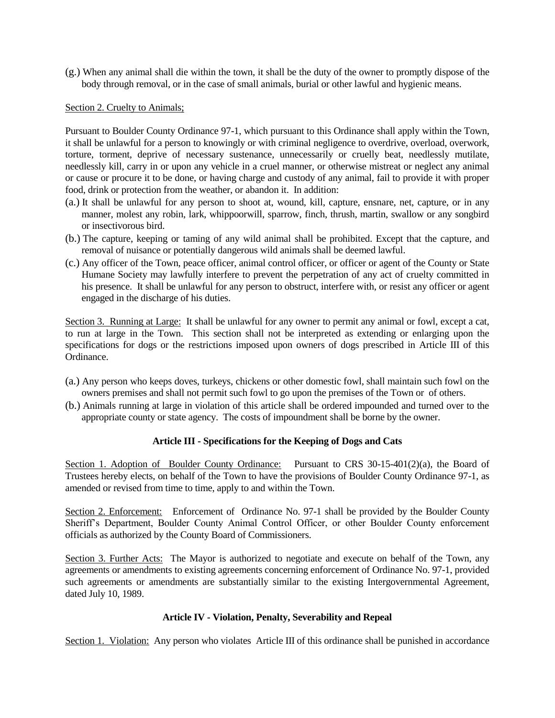(g.) When any animal shall die within the town, it shall be the duty of the owner to promptly dispose of the body through removal, or in the case of small animals, burial or other lawful and hygienic means.

#### Section 2. Cruelty to Animals;

Pursuant to Boulder County Ordinance 97-1, which pursuant to this Ordinance shall apply within the Town, it shall be unlawful for a person to knowingly or with criminal negligence to overdrive, overload, overwork, torture, torment, deprive of necessary sustenance, unnecessarily or cruelly beat, needlessly mutilate, needlessly kill, carry in or upon any vehicle in a cruel manner, or otherwise mistreat or neglect any animal or cause or procure it to be done, or having charge and custody of any animal, fail to provide it with proper food, drink or protection from the weather, or abandon it. In addition:

- (a.) It shall be unlawful for any person to shoot at, wound, kill, capture, ensnare, net, capture, or in any manner, molest any robin, lark, whippoorwill, sparrow, finch, thrush, martin, swallow or any songbird or insectivorous bird.
- (b.) The capture, keeping or taming of any wild animal shall be prohibited. Except that the capture, and removal of nuisance or potentially dangerous wild animals shall be deemed lawful.
- (c.) Any officer of the Town, peace officer, animal control officer, or officer or agent of the County or State Humane Society may lawfully interfere to prevent the perpetration of any act of cruelty committed in his presence. It shall be unlawful for any person to obstruct, interfere with, or resist any officer or agent engaged in the discharge of his duties.

Section 3. Running at Large: It shall be unlawful for any owner to permit any animal or fowl, except a cat, to run at large in the Town. This section shall not be interpreted as extending or enlarging upon the specifications for dogs or the restrictions imposed upon owners of dogs prescribed in Article III of this Ordinance.

- (a.) Any person who keeps doves, turkeys, chickens or other domestic fowl, shall maintain such fowl on the owners premises and shall not permit such fowl to go upon the premises of the Town or of others.
- (b.) Animals running at large in violation of this article shall be ordered impounded and turned over to the appropriate county or state agency. The costs of impoundment shall be borne by the owner.

## **Article III - Specifications for the Keeping of Dogs and Cats**

Section 1. Adoption of Boulder County Ordinance: Pursuant to CRS 30-15-401(2)(a), the Board of Trustees hereby elects, on behalf of the Town to have the provisions of Boulder County Ordinance 97-1, as amended or revised from time to time, apply to and within the Town.

Section 2. Enforcement: Enforcement of Ordinance No. 97-1 shall be provided by the Boulder County Sheriff's Department, Boulder County Animal Control Officer, or other Boulder County enforcement officials as authorized by the County Board of Commissioners.

Section 3. Further Acts: The Mayor is authorized to negotiate and execute on behalf of the Town, any agreements or amendments to existing agreements concerning enforcement of Ordinance No. 97-1, provided such agreements or amendments are substantially similar to the existing Intergovernmental Agreement, dated July 10, 1989.

## **Article IV - Violation, Penalty, Severability and Repeal**

Section 1. Violation: Any person who violates Article III of this ordinance shall be punished in accordance